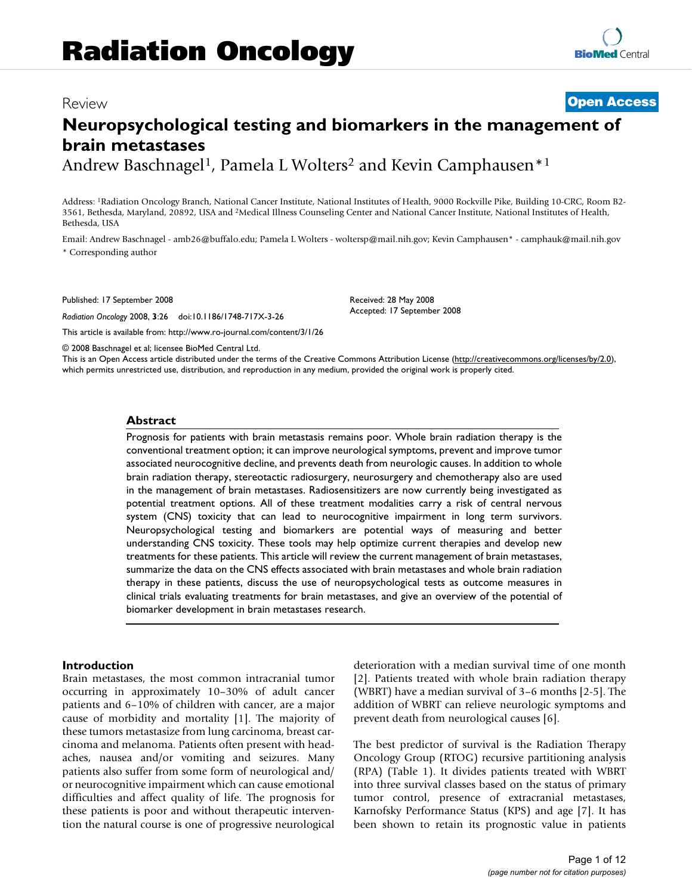# **Neuropsychological testing and biomarkers in the management of brain metastases**

Andrew Baschnagel<sup>1</sup>, Pamela L Wolters<sup>2</sup> and Kevin Camphausen<sup>\*1</sup>

Address: 1Radiation Oncology Branch, National Cancer Institute, National Institutes of Health, 9000 Rockville Pike, Building 10-CRC, Room B2- 3561, Bethesda, Maryland, 20892, USA and 2Medical Illness Counseling Center and National Cancer Institute, National Institutes of Health, Bethesda, USA

Email: Andrew Baschnagel - amb26@buffalo.edu; Pamela L Wolters - woltersp@mail.nih.gov; Kevin Camphausen\* - camphauk@mail.nih.gov \* Corresponding author

> Received: 28 May 2008 Accepted: 17 September 2008

Published: 17 September 2008

*Radiation Oncology* 2008, **3**:26 doi:10.1186/1748-717X-3-26

[This article is available from: http://www.ro-journal.com/content/3/1/26](http://www.ro-journal.com/content/3/1/26)

© 2008 Baschnagel et al; licensee BioMed Central Ltd.

This is an Open Access article distributed under the terms of the Creative Commons Attribution License [\(http://creativecommons.org/licenses/by/2.0\)](http://creativecommons.org/licenses/by/2.0), which permits unrestricted use, distribution, and reproduction in any medium, provided the original work is properly cited.

#### **Abstract**

Prognosis for patients with brain metastasis remains poor. Whole brain radiation therapy is the conventional treatment option; it can improve neurological symptoms, prevent and improve tumor associated neurocognitive decline, and prevents death from neurologic causes. In addition to whole brain radiation therapy, stereotactic radiosurgery, neurosurgery and chemotherapy also are used in the management of brain metastases. Radiosensitizers are now currently being investigated as potential treatment options. All of these treatment modalities carry a risk of central nervous system (CNS) toxicity that can lead to neurocognitive impairment in long term survivors. Neuropsychological testing and biomarkers are potential ways of measuring and better understanding CNS toxicity. These tools may help optimize current therapies and develop new treatments for these patients. This article will review the current management of brain metastases, summarize the data on the CNS effects associated with brain metastases and whole brain radiation therapy in these patients, discuss the use of neuropsychological tests as outcome measures in clinical trials evaluating treatments for brain metastases, and give an overview of the potential of biomarker development in brain metastases research.

### **Introduction**

Brain metastases, the most common intracranial tumor occurring in approximately 10–30% of adult cancer patients and 6–10% of children with cancer, are a major cause of morbidity and mortality [1]. The majority of these tumors metastasize from lung carcinoma, breast carcinoma and melanoma. Patients often present with headaches, nausea and/or vomiting and seizures. Many patients also suffer from some form of neurological and/ or neurocognitive impairment which can cause emotional difficulties and affect quality of life. The prognosis for these patients is poor and without therapeutic intervention the natural course is one of progressive neurological deterioration with a median survival time of one month [2]. Patients treated with whole brain radiation therapy (WBRT) have a median survival of 3–6 months [2-5]. The addition of WBRT can relieve neurologic symptoms and prevent death from neurological causes [6].

The best predictor of survival is the Radiation Therapy Oncology Group (RTOG) recursive partitioning analysis (RPA) (Table 1). It divides patients treated with WBRT into three survival classes based on the status of primary tumor control, presence of extracranial metastases, Karnofsky Performance Status (KPS) and age [7]. It has been shown to retain its prognostic value in patients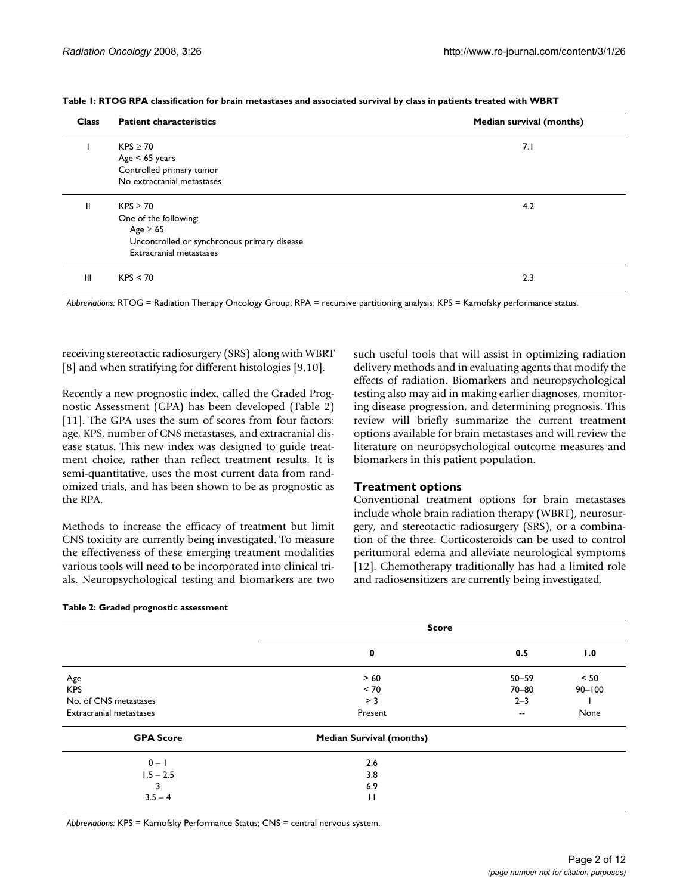| <b>Class</b> | <b>Patient characteristics</b>              | Median survival (months) |
|--------------|---------------------------------------------|--------------------------|
|              | $KPS \geq 70$                               | 7.1                      |
|              | Age $< 65$ years                            |                          |
|              | Controlled primary tumor                    |                          |
|              | No extracranial metastases                  |                          |
| Ш            | KPS > 70                                    | 4.2                      |
|              | One of the following:                       |                          |
|              | Age $\geq 65$                               |                          |
|              | Uncontrolled or synchronous primary disease |                          |
|              | Extracranial metastases                     |                          |
| Ш            | KPS < 70                                    | 2.3                      |

**Table 1: RTOG RPA classification for brain metastases and associated survival by class in patients treated with WBRT**

*Abbreviations:* RTOG = Radiation Therapy Oncology Group; RPA = recursive partitioning analysis; KPS = Karnofsky performance status.

receiving stereotactic radiosurgery (SRS) along with WBRT [8] and when stratifying for different histologies [9,10].

Recently a new prognostic index, called the Graded Prognostic Assessment (GPA) has been developed (Table 2) [11]. The GPA uses the sum of scores from four factors: age, KPS, number of CNS metastases, and extracranial disease status. This new index was designed to guide treatment choice, rather than reflect treatment results. It is semi-quantitative, uses the most current data from randomized trials, and has been shown to be as prognostic as the RPA.

Methods to increase the efficacy of treatment but limit CNS toxicity are currently being investigated. To measure the effectiveness of these emerging treatment modalities various tools will need to be incorporated into clinical trials. Neuropsychological testing and biomarkers are two

**Table 2: Graded prognostic assessment**

such useful tools that will assist in optimizing radiation delivery methods and in evaluating agents that modify the effects of radiation. Biomarkers and neuropsychological testing also may aid in making earlier diagnoses, monitoring disease progression, and determining prognosis. This review will briefly summarize the current treatment options available for brain metastases and will review the literature on neuropsychological outcome measures and biomarkers in this patient population.

# **Treatment options**

Conventional treatment options for brain metastases include whole brain radiation therapy (WBRT), neurosurgery, and stereotactic radiosurgery (SRS), or a combination of the three. Corticosteroids can be used to control peritumoral edema and alleviate neurological symptoms [12]. Chemotherapy traditionally has had a limited role and radiosensitizers are currently being investigated.

|                                | <b>Score</b>                    |                          |            |
|--------------------------------|---------------------------------|--------------------------|------------|
|                                | 0                               | 0.5                      | 1.0        |
| Age                            | >60                             | $50 - 59$                | < 50       |
| <b>KPS</b>                     | < 70                            | 70-80                    | $90 - 100$ |
| No. of CNS metastases          | > 3                             | $2 - 3$                  |            |
| <b>Extracranial metastases</b> | Present                         | $\overline{\phantom{a}}$ | None       |
| <b>GPA Score</b>               | <b>Median Survival (months)</b> |                          |            |
| $0 - 1$                        | 2.6                             |                          |            |
| $1.5 - 2.5$                    | 3.8                             |                          |            |
| 3                              | 6.9                             |                          |            |
| $3.5 - 4$                      | П                               |                          |            |

*Abbreviations:* KPS = Karnofsky Performance Status; CNS = central nervous system.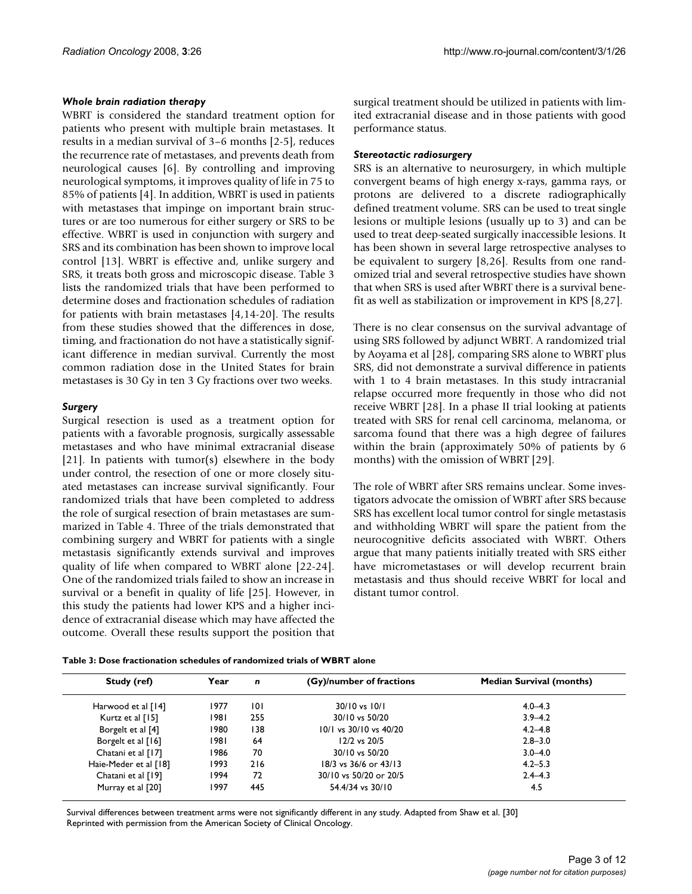#### *Whole brain radiation therapy*

WBRT is considered the standard treatment option for patients who present with multiple brain metastases. It results in a median survival of 3–6 months [2-5], reduces the recurrence rate of metastases, and prevents death from neurological causes [6]. By controlling and improving neurological symptoms, it improves quality of life in 75 to 85% of patients [4]. In addition, WBRT is used in patients with metastases that impinge on important brain structures or are too numerous for either surgery or SRS to be effective. WBRT is used in conjunction with surgery and SRS and its combination has been shown to improve local control [13]. WBRT is effective and, unlike surgery and SRS, it treats both gross and microscopic disease. Table 3 lists the randomized trials that have been performed to determine doses and fractionation schedules of radiation for patients with brain metastases [4,14-20]. The results from these studies showed that the differences in dose, timing, and fractionation do not have a statistically significant difference in median survival. Currently the most common radiation dose in the United States for brain metastases is 30 Gy in ten 3 Gy fractions over two weeks.

# *Surgery*

Surgical resection is used as a treatment option for patients with a favorable prognosis, surgically assessable metastases and who have minimal extracranial disease [21]. In patients with tumor(s) elsewhere in the body under control, the resection of one or more closely situated metastases can increase survival significantly. Four randomized trials that have been completed to address the role of surgical resection of brain metastases are summarized in Table 4. Three of the trials demonstrated that combining surgery and WBRT for patients with a single metastasis significantly extends survival and improves quality of life when compared to WBRT alone [22-24]. One of the randomized trials failed to show an increase in survival or a benefit in quality of life [25]. However, in this study the patients had lower KPS and a higher incidence of extracranial disease which may have affected the outcome. Overall these results support the position that surgical treatment should be utilized in patients with limited extracranial disease and in those patients with good performance status.

### *Stereotactic radiosurgery*

SRS is an alternative to neurosurgery, in which multiple convergent beams of high energy x-rays, gamma rays, or protons are delivered to a discrete radiographically defined treatment volume. SRS can be used to treat single lesions or multiple lesions (usually up to 3) and can be used to treat deep-seated surgically inaccessible lesions. It has been shown in several large retrospective analyses to be equivalent to surgery [8,26]. Results from one randomized trial and several retrospective studies have shown that when SRS is used after WBRT there is a survival benefit as well as stabilization or improvement in KPS [8,27].

There is no clear consensus on the survival advantage of using SRS followed by adjunct WBRT. A randomized trial by Aoyama et al [28], comparing SRS alone to WBRT plus SRS, did not demonstrate a survival difference in patients with 1 to 4 brain metastases. In this study intracranial relapse occurred more frequently in those who did not receive WBRT [28]. In a phase II trial looking at patients treated with SRS for renal cell carcinoma, melanoma, or sarcoma found that there was a high degree of failures within the brain (approximately 50% of patients by 6 months) with the omission of WBRT [29].

The role of WBRT after SRS remains unclear. Some investigators advocate the omission of WBRT after SRS because SRS has excellent local tumor control for single metastasis and withholding WBRT will spare the patient from the neurocognitive deficits associated with WBRT. Others argue that many patients initially treated with SRS either have micrometastases or will develop recurrent brain metastasis and thus should receive WBRT for local and distant tumor control.

| Table 3: Dose fractionation schedules of randomized trials of WBRT alone |  |
|--------------------------------------------------------------------------|--|
|                                                                          |  |

| Study (ref)           | Year | $\mathbf n$ | (Gy)/number of fractions | <b>Median Survival (months)</b> |
|-----------------------|------|-------------|--------------------------|---------------------------------|
| Harwood et al [14]    | 1977 | 101         | 30/10 vs 10/1            | $4.0 - 4.3$                     |
| Kurtz et al $[15]$    | 1981 | 255         | 30/10 vs 50/20           | $3.9 - 4.2$                     |
| Borgelt et al [4]     | 1980 | 138         | 10/1 vs 30/10 vs 40/20   | $4.2 - 4.8$                     |
| Borgelt et al [16]    | 1981 | 64          | 12/2 vs 20/5             | $2.8 - 3.0$                     |
| Chatani et al [17]    | 1986 | 70          | 30/10 vs 50/20           | $3.0 - 4.0$                     |
| Haie-Meder et al [18] | 1993 | 216         | 18/3 vs 36/6 or 43/13    | $4.2 - 5.3$                     |
| Chatani et al [19]    | 1994 | 72          | 30/10 vs 50/20 or 20/5   | $2.4 - 4.3$                     |
| Murray et al [20]     | 1997 | 445         | 54.4/34 vs 30/10         | 4.5                             |

Survival differences between treatment arms were not significantly different in any study. Adapted from Shaw et al. [30] Reprinted with permission from the American Society of Clinical Oncology.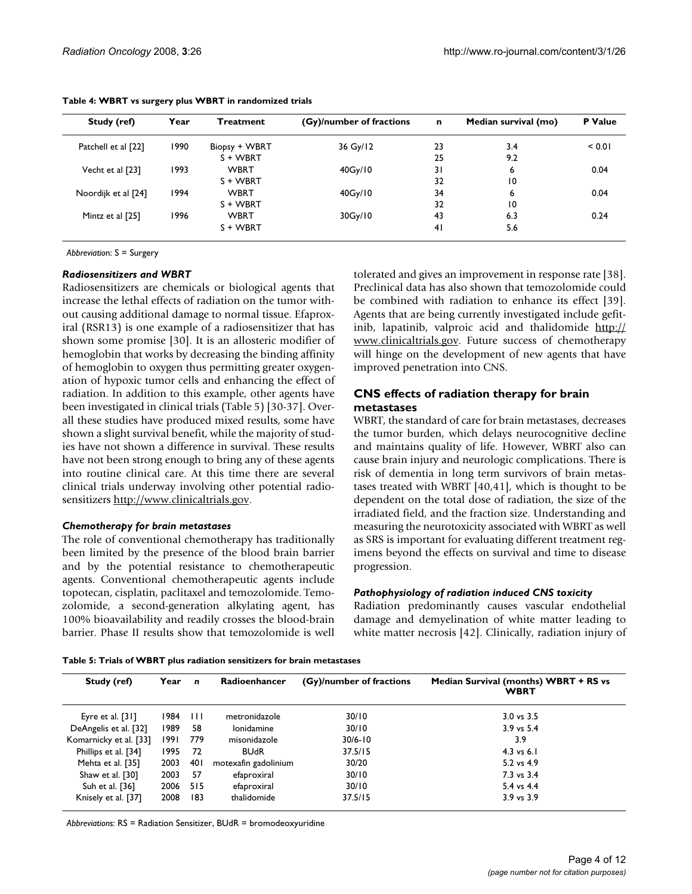| Study (ref)         | Year | <b>Treatment</b> | (Gy)/number of fractions | $\mathbf n$ | Median survival (mo) | P Value |
|---------------------|------|------------------|--------------------------|-------------|----------------------|---------|
| Patchell et al [22] | 1990 | Biopsy + WBRT    | 36 Gy/12                 | 23          | 3.4                  | < 0.01  |
|                     |      | $S + WBRT$       |                          | 25          | 9.2                  |         |
| Vecht et al [23]    | 1993 | <b>WBRT</b>      | 40Gy/10                  | 31          | 6                    | 0.04    |
|                     |      | $S + WBRT$       |                          | 32          | $\overline{10}$      |         |
| Noordijk et al [24] | 1994 | <b>WBRT</b>      | 40Gy/10                  | 34          | 6                    | 0.04    |
|                     |      | $S + WBRT$       |                          | 32          | $\overline{10}$      |         |
| Mintz et al [25]    | 1996 | <b>WBRT</b>      | 30Gy/10                  | 43          | 6.3                  | 0.24    |
|                     |      | $S + WBRT$       |                          | 41          | 5.6                  |         |

**Table 4: WBRT vs surgery plus WBRT in randomized trials**

*Abbreviatio*n: S = Surgery

#### *Radiosensitizers and WBRT*

Radiosensitizers are chemicals or biological agents that increase the lethal effects of radiation on the tumor without causing additional damage to normal tissue. Efaproxiral (RSR13) is one example of a radiosensitizer that has shown some promise [30]. It is an allosteric modifier of hemoglobin that works by decreasing the binding affinity of hemoglobin to oxygen thus permitting greater oxygenation of hypoxic tumor cells and enhancing the effect of radiation. In addition to this example, other agents have been investigated in clinical trials (Table 5) [30-37]. Overall these studies have produced mixed results, some have shown a slight survival benefit, while the majority of studies have not shown a difference in survival. These results have not been strong enough to bring any of these agents into routine clinical care. At this time there are several clinical trials underway involving other potential radiosensitizers <http://www.clinicaltrials.gov>.

#### *Chemotherapy for brain metastases*

The role of conventional chemotherapy has traditionally been limited by the presence of the blood brain barrier and by the potential resistance to chemotherapeutic agents. Conventional chemotherapeutic agents include topotecan, cisplatin, paclitaxel and temozolomide. Temozolomide, a second-generation alkylating agent, has 100% bioavailability and readily crosses the blood-brain barrier. Phase II results show that temozolomide is well

tolerated and gives an improvement in response rate [38]. Preclinical data has also shown that temozolomide could be combined with radiation to enhance its effect [39]. Agents that are being currently investigated include gefitinib, lapatinib, valproic acid and thalidomide [http://](http://www.clinicaltrials.gov) [www.clinicaltrials.gov.](http://www.clinicaltrials.gov) Future success of chemotherapy will hinge on the development of new agents that have improved penetration into CNS.

# **CNS effects of radiation therapy for brain metastases**

WBRT, the standard of care for brain metastases, decreases the tumor burden, which delays neurocognitive decline and maintains quality of life. However, WBRT also can cause brain injury and neurologic complications. There is risk of dementia in long term survivors of brain metastases treated with WBRT [40,41], which is thought to be dependent on the total dose of radiation, the size of the irradiated field, and the fraction size. Understanding and measuring the neurotoxicity associated with WBRT as well as SRS is important for evaluating different treatment regimens beyond the effects on survival and time to disease progression.

# *Pathophysiology of radiation induced CNS toxicity*

Radiation predominantly causes vascular endothelial damage and demyelination of white matter leading to white matter necrosis [42]. Clinically, radiation injury of

**Table 5: Trials of WBRT plus radiation sensitizers for brain metastases**

| Study (ref)            | Year | $\mathbf n$  | Radioenhancer        | (Gy)/number of fractions | Median Survival (months) WBRT + RS vs<br><b>WBRT</b> |
|------------------------|------|--------------|----------------------|--------------------------|------------------------------------------------------|
| Eyre et al. $[31]$     | 1984 | $\mathbf{H}$ | metronidazole        | 30/10                    | $3.0 \text{ vs } 3.5$                                |
| DeAngelis et al. [32]  | 1989 | 58           | lonidamine           | 30/10                    | $3.9$ vs $5.4$                                       |
| Komarnicky et al. [33] | 1991 | 779          | misonidazole         | $30/6 - 10$              | 3.9                                                  |
| Phillips et al. [34]   | 1995 | -72          | <b>BUdR</b>          | 37.5/15                  | 4.3 vs $6.1$                                         |
| Mehta et al. [35]      | 2003 | 401          | motexafin gadolinium | 30/20                    | $5.2 \text{ vs } 4.9$                                |
| Shaw et al. [30]       | 2003 | 57           | efaproxiral          | 30/10                    | 7.3 vs 3.4                                           |
| Suh et al. [36]        | 2006 | 515          | efaproxiral          | 30/10                    | 5.4 vs 4.4                                           |
| Knisely et al. [37]    | 2008 | 183          | thalidomide          | 37.5/15                  | 3.9 vs 3.9                                           |

*Abbreviations:* RS = Radiation Sensitizer, BUdR = bromodeoxyuridine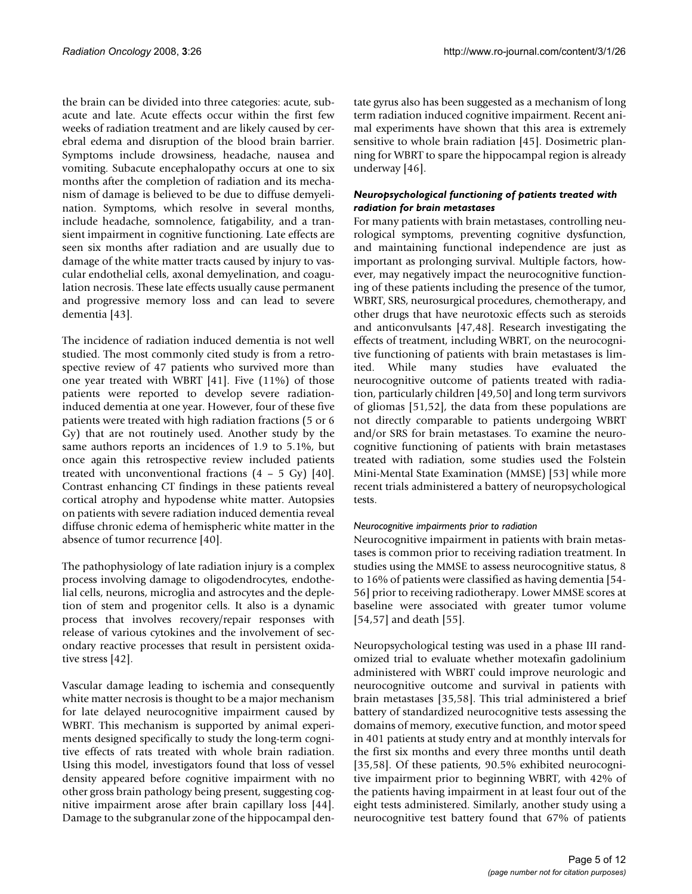the brain can be divided into three categories: acute, subacute and late. Acute effects occur within the first few weeks of radiation treatment and are likely caused by cerebral edema and disruption of the blood brain barrier. Symptoms include drowsiness, headache, nausea and vomiting. Subacute encephalopathy occurs at one to six months after the completion of radiation and its mechanism of damage is believed to be due to diffuse demyelination. Symptoms, which resolve in several months, include headache, somnolence, fatigability, and a transient impairment in cognitive functioning. Late effects are seen six months after radiation and are usually due to damage of the white matter tracts caused by injury to vascular endothelial cells, axonal demyelination, and coagulation necrosis. These late effects usually cause permanent and progressive memory loss and can lead to severe dementia [43].

The incidence of radiation induced dementia is not well studied. The most commonly cited study is from a retrospective review of 47 patients who survived more than one year treated with WBRT [41]. Five (11%) of those patients were reported to develop severe radiationinduced dementia at one year. However, four of these five patients were treated with high radiation fractions (5 or 6 Gy) that are not routinely used. Another study by the same authors reports an incidences of 1.9 to 5.1%, but once again this retrospective review included patients treated with unconventional fractions (4 – 5 Gy) [40]. Contrast enhancing CT findings in these patients reveal cortical atrophy and hypodense white matter. Autopsies on patients with severe radiation induced dementia reveal diffuse chronic edema of hemispheric white matter in the absence of tumor recurrence [40].

The pathophysiology of late radiation injury is a complex process involving damage to oligodendrocytes, endothelial cells, neurons, microglia and astrocytes and the depletion of stem and progenitor cells. It also is a dynamic process that involves recovery/repair responses with release of various cytokines and the involvement of secondary reactive processes that result in persistent oxidative stress [42].

Vascular damage leading to ischemia and consequently white matter necrosis is thought to be a major mechanism for late delayed neurocognitive impairment caused by WBRT. This mechanism is supported by animal experiments designed specifically to study the long-term cognitive effects of rats treated with whole brain radiation. Using this model, investigators found that loss of vessel density appeared before cognitive impairment with no other gross brain pathology being present, suggesting cognitive impairment arose after brain capillary loss [44]. Damage to the subgranular zone of the hippocampal dentate gyrus also has been suggested as a mechanism of long term radiation induced cognitive impairment. Recent animal experiments have shown that this area is extremely sensitive to whole brain radiation [45]. Dosimetric planning for WBRT to spare the hippocampal region is already underway [46].

# *Neuropsychological functioning of patients treated with radiation for brain metastases*

For many patients with brain metastases, controlling neurological symptoms, preventing cognitive dysfunction, and maintaining functional independence are just as important as prolonging survival. Multiple factors, however, may negatively impact the neurocognitive functioning of these patients including the presence of the tumor, WBRT, SRS, neurosurgical procedures, chemotherapy, and other drugs that have neurotoxic effects such as steroids and anticonvulsants [47,48]. Research investigating the effects of treatment, including WBRT, on the neurocognitive functioning of patients with brain metastases is limited. While many studies have evaluated the neurocognitive outcome of patients treated with radiation, particularly children [49,50] and long term survivors of gliomas [51,52], the data from these populations are not directly comparable to patients undergoing WBRT and/or SRS for brain metastases. To examine the neurocognitive functioning of patients with brain metastases treated with radiation, some studies used the Folstein Mini-Mental State Examination (MMSE) [53] while more recent trials administered a battery of neuropsychological tests.

# *Neurocognitive impairments prior to radiation*

Neurocognitive impairment in patients with brain metastases is common prior to receiving radiation treatment. In studies using the MMSE to assess neurocognitive status, 8 to 16% of patients were classified as having dementia [54- 56] prior to receiving radiotherapy. Lower MMSE scores at baseline were associated with greater tumor volume [54,57] and death [55].

Neuropsychological testing was used in a phase III randomized trial to evaluate whether motexafin gadolinium administered with WBRT could improve neurologic and neurocognitive outcome and survival in patients with brain metastases [35,58]. This trial administered a brief battery of standardized neurocognitive tests assessing the domains of memory, executive function, and motor speed in 401 patients at study entry and at monthly intervals for the first six months and every three months until death [35,58]. Of these patients, 90.5% exhibited neurocognitive impairment prior to beginning WBRT, with 42% of the patients having impairment in at least four out of the eight tests administered. Similarly, another study using a neurocognitive test battery found that 67% of patients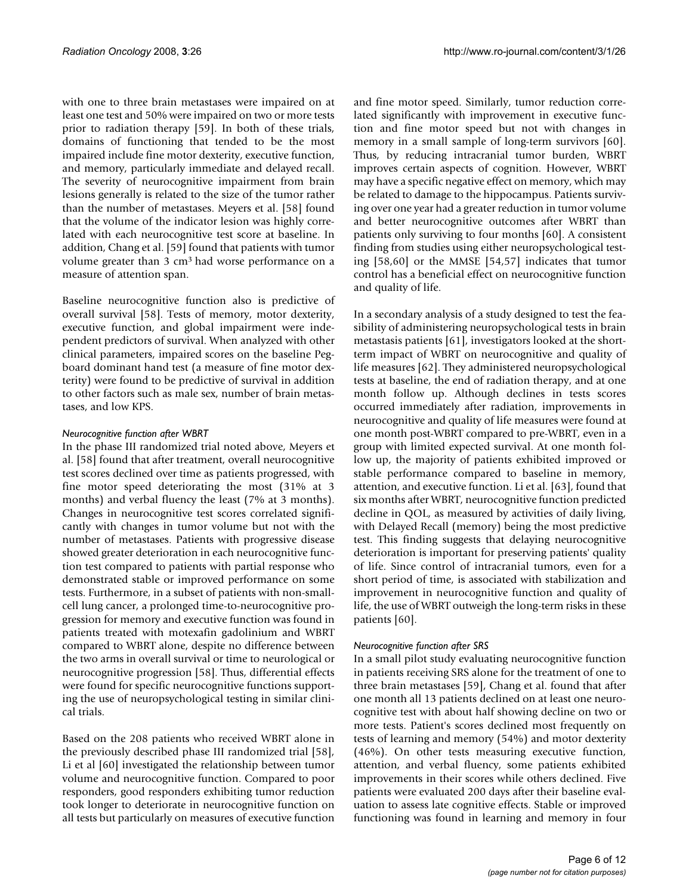with one to three brain metastases were impaired on at least one test and 50% were impaired on two or more tests prior to radiation therapy [59]. In both of these trials, domains of functioning that tended to be the most impaired include fine motor dexterity, executive function, and memory, particularly immediate and delayed recall. The severity of neurocognitive impairment from brain lesions generally is related to the size of the tumor rather than the number of metastases. Meyers et al. [58] found that the volume of the indicator lesion was highly correlated with each neurocognitive test score at baseline. In addition, Chang et al. [59] found that patients with tumor volume greater than 3 cm3 had worse performance on a measure of attention span.

Baseline neurocognitive function also is predictive of overall survival [58]. Tests of memory, motor dexterity, executive function, and global impairment were independent predictors of survival. When analyzed with other clinical parameters, impaired scores on the baseline Pegboard dominant hand test (a measure of fine motor dexterity) were found to be predictive of survival in addition to other factors such as male sex, number of brain metastases, and low KPS.

# *Neurocognitive function after WBRT*

In the phase III randomized trial noted above, Meyers et al. [58] found that after treatment, overall neurocognitive test scores declined over time as patients progressed, with fine motor speed deteriorating the most (31% at 3 months) and verbal fluency the least (7% at 3 months). Changes in neurocognitive test scores correlated significantly with changes in tumor volume but not with the number of metastases. Patients with progressive disease showed greater deterioration in each neurocognitive function test compared to patients with partial response who demonstrated stable or improved performance on some tests. Furthermore, in a subset of patients with non-smallcell lung cancer, a prolonged time-to-neurocognitive progression for memory and executive function was found in patients treated with motexafin gadolinium and WBRT compared to WBRT alone, despite no difference between the two arms in overall survival or time to neurological or neurocognitive progression [58]. Thus, differential effects were found for specific neurocognitive functions supporting the use of neuropsychological testing in similar clinical trials.

Based on the 208 patients who received WBRT alone in the previously described phase III randomized trial [58], Li et al [60] investigated the relationship between tumor volume and neurocognitive function. Compared to poor responders, good responders exhibiting tumor reduction took longer to deteriorate in neurocognitive function on all tests but particularly on measures of executive function

and fine motor speed. Similarly, tumor reduction correlated significantly with improvement in executive function and fine motor speed but not with changes in memory in a small sample of long-term survivors [60]. Thus, by reducing intracranial tumor burden, WBRT improves certain aspects of cognition. However, WBRT may have a specific negative effect on memory, which may be related to damage to the hippocampus. Patients surviving over one year had a greater reduction in tumor volume and better neurocognitive outcomes after WBRT than patients only surviving to four months [60]. A consistent finding from studies using either neuropsychological testing [58,60] or the MMSE [54,57] indicates that tumor control has a beneficial effect on neurocognitive function and quality of life.

In a secondary analysis of a study designed to test the feasibility of administering neuropsychological tests in brain metastasis patients [61], investigators looked at the shortterm impact of WBRT on neurocognitive and quality of life measures [62]. They administered neuropsychological tests at baseline, the end of radiation therapy, and at one month follow up. Although declines in tests scores occurred immediately after radiation, improvements in neurocognitive and quality of life measures were found at one month post-WBRT compared to pre-WBRT, even in a group with limited expected survival. At one month follow up, the majority of patients exhibited improved or stable performance compared to baseline in memory, attention, and executive function. Li et al. [63], found that six months after WBRT, neurocognitive function predicted decline in QOL, as measured by activities of daily living, with Delayed Recall (memory) being the most predictive test. This finding suggests that delaying neurocognitive deterioration is important for preserving patients' quality of life. Since control of intracranial tumors, even for a short period of time, is associated with stabilization and improvement in neurocognitive function and quality of life, the use of WBRT outweigh the long-term risks in these patients [60].

#### *Neurocognitive function after SRS*

In a small pilot study evaluating neurocognitive function in patients receiving SRS alone for the treatment of one to three brain metastases [59], Chang et al. found that after one month all 13 patients declined on at least one neurocognitive test with about half showing decline on two or more tests. Patient's scores declined most frequently on tests of learning and memory (54%) and motor dexterity (46%). On other tests measuring executive function, attention, and verbal fluency, some patients exhibited improvements in their scores while others declined. Five patients were evaluated 200 days after their baseline evaluation to assess late cognitive effects. Stable or improved functioning was found in learning and memory in four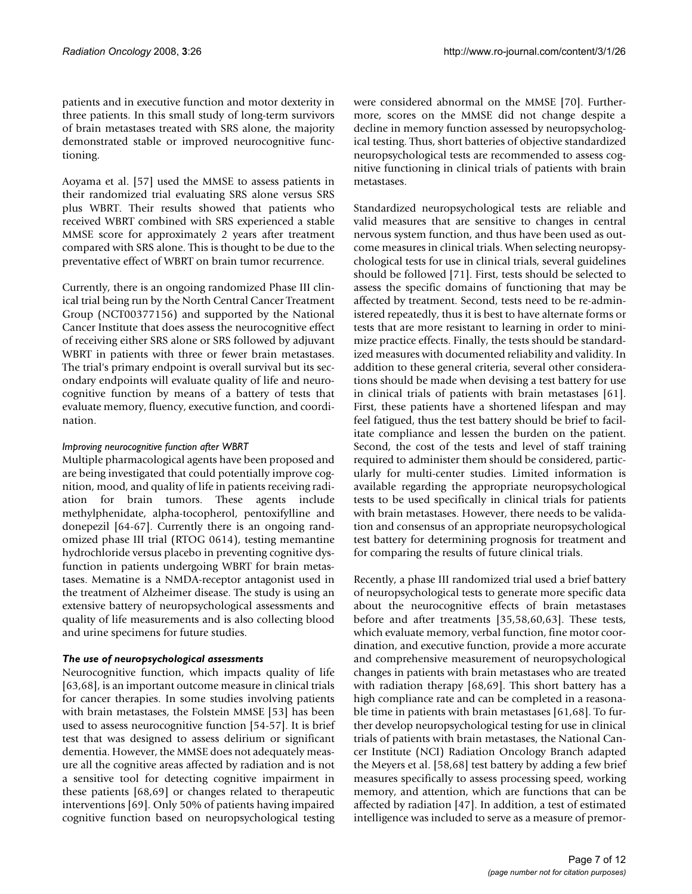patients and in executive function and motor dexterity in three patients. In this small study of long-term survivors of brain metastases treated with SRS alone, the majority demonstrated stable or improved neurocognitive functioning.

Aoyama et al. [57] used the MMSE to assess patients in their randomized trial evaluating SRS alone versus SRS plus WBRT. Their results showed that patients who received WBRT combined with SRS experienced a stable MMSE score for approximately 2 years after treatment compared with SRS alone. This is thought to be due to the preventative effect of WBRT on brain tumor recurrence.

Currently, there is an ongoing randomized Phase III clinical trial being run by the North Central Cancer Treatment Group (NCT00377156) and supported by the National Cancer Institute that does assess the neurocognitive effect of receiving either SRS alone or SRS followed by adjuvant WBRT in patients with three or fewer brain metastases. The trial's primary endpoint is overall survival but its secondary endpoints will evaluate quality of life and neurocognitive function by means of a battery of tests that evaluate memory, fluency, executive function, and coordination.

# *Improving neurocognitive function after WBRT*

Multiple pharmacological agents have been proposed and are being investigated that could potentially improve cognition, mood, and quality of life in patients receiving radiation for brain tumors. These agents include methylphenidate, alpha-tocopherol, pentoxifylline and donepezil [64-67]. Currently there is an ongoing randomized phase III trial (RTOG 0614), testing memantine hydrochloride versus placebo in preventing cognitive dysfunction in patients undergoing WBRT for brain metastases. Mematine is a NMDA-receptor antagonist used in the treatment of Alzheimer disease. The study is using an extensive battery of neuropsychological assessments and quality of life measurements and is also collecting blood and urine specimens for future studies.

# *The use of neuropsychological assessments*

Neurocognitive function, which impacts quality of life [63,68], is an important outcome measure in clinical trials for cancer therapies. In some studies involving patients with brain metastases, the Folstein MMSE [53] has been used to assess neurocognitive function [54-57]. It is brief test that was designed to assess delirium or significant dementia. However, the MMSE does not adequately measure all the cognitive areas affected by radiation and is not a sensitive tool for detecting cognitive impairment in these patients [68,69] or changes related to therapeutic interventions [69]. Only 50% of patients having impaired cognitive function based on neuropsychological testing were considered abnormal on the MMSE [70]. Furthermore, scores on the MMSE did not change despite a decline in memory function assessed by neuropsychological testing. Thus, short batteries of objective standardized neuropsychological tests are recommended to assess cognitive functioning in clinical trials of patients with brain metastases.

Standardized neuropsychological tests are reliable and valid measures that are sensitive to changes in central nervous system function, and thus have been used as outcome measures in clinical trials. When selecting neuropsychological tests for use in clinical trials, several guidelines should be followed [71]. First, tests should be selected to assess the specific domains of functioning that may be affected by treatment. Second, tests need to be re-administered repeatedly, thus it is best to have alternate forms or tests that are more resistant to learning in order to minimize practice effects. Finally, the tests should be standardized measures with documented reliability and validity. In addition to these general criteria, several other considerations should be made when devising a test battery for use in clinical trials of patients with brain metastases [61]. First, these patients have a shortened lifespan and may feel fatigued, thus the test battery should be brief to facilitate compliance and lessen the burden on the patient. Second, the cost of the tests and level of staff training required to administer them should be considered, particularly for multi-center studies. Limited information is available regarding the appropriate neuropsychological tests to be used specifically in clinical trials for patients with brain metastases. However, there needs to be validation and consensus of an appropriate neuropsychological test battery for determining prognosis for treatment and for comparing the results of future clinical trials.

Recently, a phase III randomized trial used a brief battery of neuropsychological tests to generate more specific data about the neurocognitive effects of brain metastases before and after treatments [35,58,60,63]. These tests, which evaluate memory, verbal function, fine motor coordination, and executive function, provide a more accurate and comprehensive measurement of neuropsychological changes in patients with brain metastases who are treated with radiation therapy [68,69]. This short battery has a high compliance rate and can be completed in a reasonable time in patients with brain metastases [61,68]. To further develop neuropsychological testing for use in clinical trials of patients with brain metastases, the National Cancer Institute (NCI) Radiation Oncology Branch adapted the Meyers et al. [58,68] test battery by adding a few brief measures specifically to assess processing speed, working memory, and attention, which are functions that can be affected by radiation [47]. In addition, a test of estimated intelligence was included to serve as a measure of premor-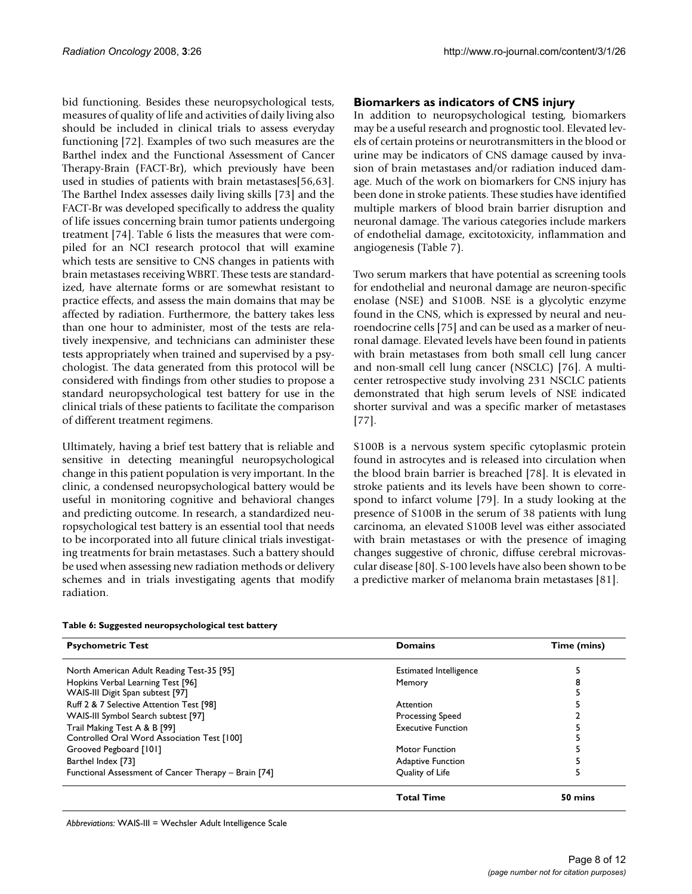bid functioning. Besides these neuropsychological tests, measures of quality of life and activities of daily living also should be included in clinical trials to assess everyday functioning [72]. Examples of two such measures are the Barthel index and the Functional Assessment of Cancer Therapy-Brain (FACT-Br), which previously have been used in studies of patients with brain metastases[56,63]. The Barthel Index assesses daily living skills [73] and the FACT-Br was developed specifically to address the quality of life issues concerning brain tumor patients undergoing treatment [74]. Table 6 lists the measures that were compiled for an NCI research protocol that will examine which tests are sensitive to CNS changes in patients with brain metastases receiving WBRT. These tests are standardized, have alternate forms or are somewhat resistant to practice effects, and assess the main domains that may be affected by radiation. Furthermore, the battery takes less than one hour to administer, most of the tests are relatively inexpensive, and technicians can administer these tests appropriately when trained and supervised by a psychologist. The data generated from this protocol will be considered with findings from other studies to propose a standard neuropsychological test battery for use in the clinical trials of these patients to facilitate the comparison of different treatment regimens.

Ultimately, having a brief test battery that is reliable and sensitive in detecting meaningful neuropsychological change in this patient population is very important. In the clinic, a condensed neuropsychological battery would be useful in monitoring cognitive and behavioral changes and predicting outcome. In research, a standardized neuropsychological test battery is an essential tool that needs to be incorporated into all future clinical trials investigating treatments for brain metastases. Such a battery should be used when assessing new radiation methods or delivery schemes and in trials investigating agents that modify radiation.

# **Biomarkers as indicators of CNS injury**

In addition to neuropsychological testing, biomarkers may be a useful research and prognostic tool. Elevated levels of certain proteins or neurotransmitters in the blood or urine may be indicators of CNS damage caused by invasion of brain metastases and/or radiation induced damage. Much of the work on biomarkers for CNS injury has been done in stroke patients. These studies have identified multiple markers of blood brain barrier disruption and neuronal damage. The various categories include markers of endothelial damage, excitotoxicity, inflammation and angiogenesis (Table 7).

Two serum markers that have potential as screening tools for endothelial and neuronal damage are neuron-specific enolase (NSE) and S100B. NSE is a glycolytic enzyme found in the CNS, which is expressed by neural and neuroendocrine cells [75] and can be used as a marker of neuronal damage. Elevated levels have been found in patients with brain metastases from both small cell lung cancer and non-small cell lung cancer (NSCLC) [76]. A multicenter retrospective study involving 231 NSCLC patients demonstrated that high serum levels of NSE indicated shorter survival and was a specific marker of metastases [77].

S100B is a nervous system specific cytoplasmic protein found in astrocytes and is released into circulation when the blood brain barrier is breached [78]. It is elevated in stroke patients and its levels have been shown to correspond to infarct volume [79]. In a study looking at the presence of S100B in the serum of 38 patients with lung carcinoma, an elevated S100B level was either associated with brain metastases or with the presence of imaging changes suggestive of chronic, diffuse cerebral microvascular disease [80]. S-100 levels have also been shown to be a predictive marker of melanoma brain metastases [81].

| <b>Psychometric Test</b>                             | <b>Domains</b>                | Time (mins) |  |
|------------------------------------------------------|-------------------------------|-------------|--|
| North American Adult Reading Test-35 [95]            | <b>Estimated Intelligence</b> |             |  |
| Hopkins Verbal Learning Test [96]                    | Memory                        | ō           |  |
| WAIS-III Digit Span subtest [97]                     |                               |             |  |
| Ruff 2 & 7 Selective Attention Test [98]             | Attention                     |             |  |
| WAIS-III Symbol Search subtest [97]                  | <b>Processing Speed</b>       |             |  |
| Trail Making Test A & B [99]                         | <b>Executive Function</b>     |             |  |
| Controlled Oral Word Association Test [100]          |                               |             |  |
| Grooved Pegboard [101]                               | Motor Function                |             |  |
| Barthel Index [73]                                   | <b>Adaptive Function</b>      |             |  |
| Functional Assessment of Cancer Therapy – Brain [74] | Quality of Life               |             |  |
|                                                      | <b>Total Time</b>             | 50 mins     |  |

**Table 6: Suggested neuropsychological test battery**

*Abbreviations:* WAIS-III = Wechsler Adult Intelligence Scale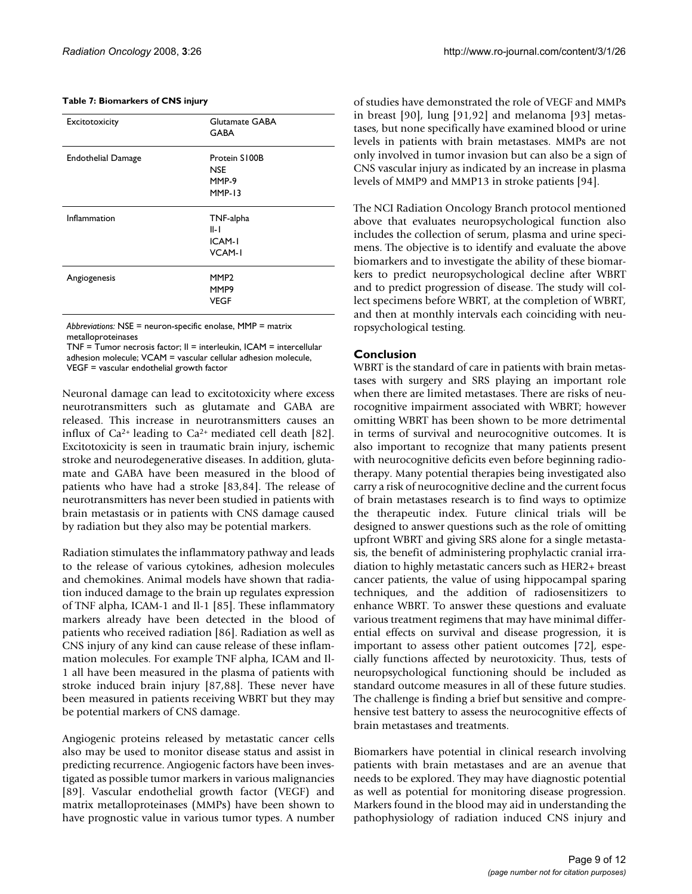#### **Table 7: Biomarkers of CNS injury**

| Excitotoxicity            | Glutamate GABA   |  |  |
|---------------------------|------------------|--|--|
|                           | GABA             |  |  |
| <b>Endothelial Damage</b> | Protein S100B    |  |  |
|                           | NSE              |  |  |
|                           | MMP-9            |  |  |
|                           | <b>MMP-13</b>    |  |  |
| Inflammation              | TNF-alpha        |  |  |
|                           | $  -  $          |  |  |
|                           | ICAM-I           |  |  |
|                           | <b>VCAM-I</b>    |  |  |
| Angiogenesis              | MMP <sub>2</sub> |  |  |
|                           | MMP9             |  |  |
|                           | <b>VEGF</b>      |  |  |
|                           |                  |  |  |

*Abbreviations:* NSE = neuron-specific enolase, MMP = matrix metalloproteinases

TNF = Tumor necrosis factor; Il = interleukin, ICAM = intercellular adhesion molecule; VCAM = vascular cellular adhesion molecule, VEGF = vascular endothelial growth factor

Neuronal damage can lead to excitotoxicity where excess neurotransmitters such as glutamate and GABA are released. This increase in neurotransmitters causes an influx of  $Ca^{2+}$  leading to  $Ca^{2+}$  mediated cell death [82]. Excitotoxicity is seen in traumatic brain injury, ischemic stroke and neurodegenerative diseases. In addition, glutamate and GABA have been measured in the blood of patients who have had a stroke [83,84]. The release of neurotransmitters has never been studied in patients with brain metastasis or in patients with CNS damage caused by radiation but they also may be potential markers.

Radiation stimulates the inflammatory pathway and leads to the release of various cytokines, adhesion molecules and chemokines. Animal models have shown that radiation induced damage to the brain up regulates expression of TNF alpha, ICAM-1 and Il-1 [85]. These inflammatory markers already have been detected in the blood of patients who received radiation [86]. Radiation as well as CNS injury of any kind can cause release of these inflammation molecules. For example TNF alpha, ICAM and Il-1 all have been measured in the plasma of patients with stroke induced brain injury [87,88]. These never have been measured in patients receiving WBRT but they may be potential markers of CNS damage.

Angiogenic proteins released by metastatic cancer cells also may be used to monitor disease status and assist in predicting recurrence. Angiogenic factors have been investigated as possible tumor markers in various malignancies [89]. Vascular endothelial growth factor (VEGF) and matrix metalloproteinases (MMPs) have been shown to have prognostic value in various tumor types. A number of studies have demonstrated the role of VEGF and MMPs in breast [90], lung [91,92] and melanoma [93] metastases, but none specifically have examined blood or urine levels in patients with brain metastases. MMPs are not only involved in tumor invasion but can also be a sign of CNS vascular injury as indicated by an increase in plasma levels of MMP9 and MMP13 in stroke patients [94].

The NCI Radiation Oncology Branch protocol mentioned above that evaluates neuropsychological function also includes the collection of serum, plasma and urine specimens. The objective is to identify and evaluate the above biomarkers and to investigate the ability of these biomarkers to predict neuropsychological decline after WBRT and to predict progression of disease. The study will collect specimens before WBRT, at the completion of WBRT, and then at monthly intervals each coinciding with neuropsychological testing.

# **Conclusion**

WBRT is the standard of care in patients with brain metastases with surgery and SRS playing an important role when there are limited metastases. There are risks of neurocognitive impairment associated with WBRT; however omitting WBRT has been shown to be more detrimental in terms of survival and neurocognitive outcomes. It is also important to recognize that many patients present with neurocognitive deficits even before beginning radiotherapy. Many potential therapies being investigated also carry a risk of neurocognitive decline and the current focus of brain metastases research is to find ways to optimize the therapeutic index. Future clinical trials will be designed to answer questions such as the role of omitting upfront WBRT and giving SRS alone for a single metastasis, the benefit of administering prophylactic cranial irradiation to highly metastatic cancers such as HER2+ breast cancer patients, the value of using hippocampal sparing techniques, and the addition of radiosensitizers to enhance WBRT. To answer these questions and evaluate various treatment regimens that may have minimal differential effects on survival and disease progression, it is important to assess other patient outcomes [72], especially functions affected by neurotoxicity. Thus, tests of neuropsychological functioning should be included as standard outcome measures in all of these future studies. The challenge is finding a brief but sensitive and comprehensive test battery to assess the neurocognitive effects of brain metastases and treatments.

Biomarkers have potential in clinical research involving patients with brain metastases and are an avenue that needs to be explored. They may have diagnostic potential as well as potential for monitoring disease progression. Markers found in the blood may aid in understanding the pathophysiology of radiation induced CNS injury and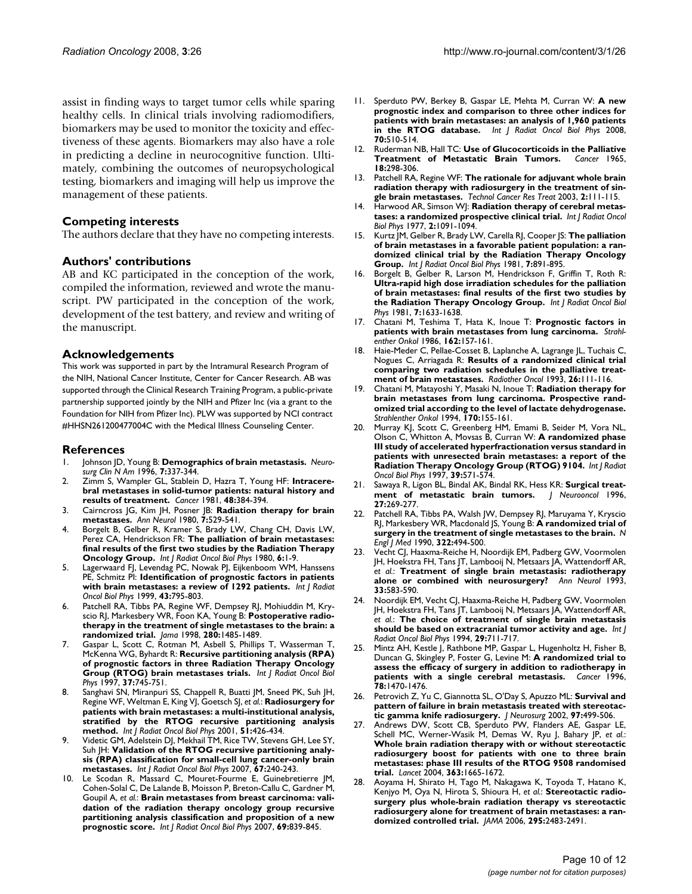assist in finding ways to target tumor cells while sparing healthy cells. In clinical trials involving radiomodifiers, biomarkers may be used to monitor the toxicity and effectiveness of these agents. Biomarkers may also have a role in predicting a decline in neurocognitive function. Ultimately, combining the outcomes of neuropsychological testing, biomarkers and imaging will help us improve the management of these patients.

#### **Competing interests**

The authors declare that they have no competing interests.

#### **Authors' contributions**

AB and KC participated in the conception of the work, compiled the information, reviewed and wrote the manuscript. PW participated in the conception of the work, development of the test battery, and review and writing of the manuscript.

#### **Acknowledgements**

This work was supported in part by the Intramural Research Program of the NIH, National Cancer Institute, Center for Cancer Research. AB was supported through the Clinical Research Training Program, a public-private partnership supported jointly by the NIH and Pfizer Inc (via a grant to the Foundation for NIH from Pfizer Inc). PLW was supported by NCI contract #HHSN261200477004C with the Medical Illness Counseling Center.

#### **References**

- 1. Johnson JD, Young B: **[Demographics of brain metastasis.](http://www.ncbi.nlm.nih.gov/entrez/query.fcgi?cmd=Retrieve&db=PubMed&dopt=Abstract&list_uids=8823767)** *Neurosurg Clin N Am* 1996, **7:**337-344.
- Zimm S, Wampler GL, Stablein D, Hazra T, Young HF: [Intracere](http://www.ncbi.nlm.nih.gov/entrez/query.fcgi?cmd=Retrieve&db=PubMed&dopt=Abstract&list_uids=7237407)**[bral metastases in solid-tumor patients: natural history and](http://www.ncbi.nlm.nih.gov/entrez/query.fcgi?cmd=Retrieve&db=PubMed&dopt=Abstract&list_uids=7237407) [results of treatment.](http://www.ncbi.nlm.nih.gov/entrez/query.fcgi?cmd=Retrieve&db=PubMed&dopt=Abstract&list_uids=7237407)** *Cancer* 1981, **48:**384-394.
- 3. Cairncross JG, Kim JH, Posner JB: **[Radiation therapy for brain](http://www.ncbi.nlm.nih.gov/entrez/query.fcgi?cmd=Retrieve&db=PubMed&dopt=Abstract&list_uids=7436358) [metastases.](http://www.ncbi.nlm.nih.gov/entrez/query.fcgi?cmd=Retrieve&db=PubMed&dopt=Abstract&list_uids=7436358)** *Ann Neurol* 1980, **7:**529-541.
- 4. Borgelt B, Gelber R, Kramer S, Brady LW, Chang CH, Davis LW, Perez CA, Hendrickson FR: **[The palliation of brain metastases:](http://www.ncbi.nlm.nih.gov/entrez/query.fcgi?cmd=Retrieve&db=PubMed&dopt=Abstract&list_uids=6154024) [final results of the first two studies by the Radiation Therapy](http://www.ncbi.nlm.nih.gov/entrez/query.fcgi?cmd=Retrieve&db=PubMed&dopt=Abstract&list_uids=6154024) [Oncology Group.](http://www.ncbi.nlm.nih.gov/entrez/query.fcgi?cmd=Retrieve&db=PubMed&dopt=Abstract&list_uids=6154024)** *Int J Radiat Oncol Biol Phys* 1980, **6:**1-9.
- 5. Lagerwaard FJ, Levendag PC, Nowak PJ, Eijkenboom WM, Hanssens PE, Schmitz PI: **[Identification of prognostic factors in patients](http://www.ncbi.nlm.nih.gov/entrez/query.fcgi?cmd=Retrieve&db=PubMed&dopt=Abstract&list_uids=10098435) [with brain metastases: a review of 1292 patients.](http://www.ncbi.nlm.nih.gov/entrez/query.fcgi?cmd=Retrieve&db=PubMed&dopt=Abstract&list_uids=10098435)** *Int J Radiat Oncol Biol Phys* 1999, **43:**795-803.
- 6. Patchell RA, Tibbs PA, Regine WF, Dempsey RJ, Mohiuddin M, Kryscio RJ, Markesbery WR, Foon KA, Young B: **[Postoperative radio](http://www.ncbi.nlm.nih.gov/entrez/query.fcgi?cmd=Retrieve&db=PubMed&dopt=Abstract&list_uids=9809728)[therapy in the treatment of single metastases to the brain: a](http://www.ncbi.nlm.nih.gov/entrez/query.fcgi?cmd=Retrieve&db=PubMed&dopt=Abstract&list_uids=9809728) [randomized trial.](http://www.ncbi.nlm.nih.gov/entrez/query.fcgi?cmd=Retrieve&db=PubMed&dopt=Abstract&list_uids=9809728)** *Jama* 1998, **280:**1485-1489.
- 7. Gaspar L, Scott C, Rotman M, Asbell S, Phillips T, Wasserman T, McKenna WG, Byhardt R: **[Recursive partitioning analysis \(RPA\)](http://www.ncbi.nlm.nih.gov/entrez/query.fcgi?cmd=Retrieve&db=PubMed&dopt=Abstract&list_uids=9128946) [of prognostic factors in three Radiation Therapy Oncology](http://www.ncbi.nlm.nih.gov/entrez/query.fcgi?cmd=Retrieve&db=PubMed&dopt=Abstract&list_uids=9128946) [Group \(RTOG\) brain metastases trials.](http://www.ncbi.nlm.nih.gov/entrez/query.fcgi?cmd=Retrieve&db=PubMed&dopt=Abstract&list_uids=9128946)** *Int J Radiat Oncol Biol Phys* 1997, **37:**745-751.
- 8. Sanghavi SN, Miranpuri SS, Chappell R, Buatti JM, Sneed PK, Suh JH, Regine WF, Weltman E, King VJ, Goetsch SJ, *et al.*: **[Radiosurgery for](http://www.ncbi.nlm.nih.gov/entrez/query.fcgi?cmd=Retrieve&db=PubMed&dopt=Abstract&list_uids=11567817) patients with brain metastases: a multi-institutional analysis, [stratified by the RTOG recursive partitioning analysis](http://www.ncbi.nlm.nih.gov/entrez/query.fcgi?cmd=Retrieve&db=PubMed&dopt=Abstract&list_uids=11567817) [method.](http://www.ncbi.nlm.nih.gov/entrez/query.fcgi?cmd=Retrieve&db=PubMed&dopt=Abstract&list_uids=11567817)** *Int J Radiat Oncol Biol Phys* 2001, **51:**426-434.
- 9. Videtic GM, Adelstein DJ, Mekhail TM, Rice TW, Stevens GH, Lee SY, Suh JH: **[Validation of the RTOG recursive partitioning analy](http://www.ncbi.nlm.nih.gov/entrez/query.fcgi?cmd=Retrieve&db=PubMed&dopt=Abstract&list_uids=17056192)[sis \(RPA\) classification for small-cell lung cancer-only brain](http://www.ncbi.nlm.nih.gov/entrez/query.fcgi?cmd=Retrieve&db=PubMed&dopt=Abstract&list_uids=17056192) [metastases.](http://www.ncbi.nlm.nih.gov/entrez/query.fcgi?cmd=Retrieve&db=PubMed&dopt=Abstract&list_uids=17056192)** *Int J Radiat Oncol Biol Phys* 2007, **67:**240-243.
- 10. Le Scodan R, Massard C, Mouret-Fourme E, Guinebretierre JM, Cohen-Solal C, De Lalande B, Moisson P, Breton-Callu C, Gardner M, Goupil A, *et al.*: **[Brain metastases from breast carcinoma: vali](http://www.ncbi.nlm.nih.gov/entrez/query.fcgi?cmd=Retrieve&db=PubMed&dopt=Abstract&list_uids=17544592)dation of the radiation therapy oncology group recursive [partitioning analysis classification and proposition of a new](http://www.ncbi.nlm.nih.gov/entrez/query.fcgi?cmd=Retrieve&db=PubMed&dopt=Abstract&list_uids=17544592) [prognostic score.](http://www.ncbi.nlm.nih.gov/entrez/query.fcgi?cmd=Retrieve&db=PubMed&dopt=Abstract&list_uids=17544592)** *Int J Radiat Oncol Biol Phys* 2007, **69:**839-845.
- 11. Sperduto PW, Berkey B, Gaspar LE, Mehta M, Curran W: **[A new](http://www.ncbi.nlm.nih.gov/entrez/query.fcgi?cmd=Retrieve&db=PubMed&dopt=Abstract&list_uids=17931798) [prognostic index and comparison to three other indices for](http://www.ncbi.nlm.nih.gov/entrez/query.fcgi?cmd=Retrieve&db=PubMed&dopt=Abstract&list_uids=17931798) patients with brain metastases: an analysis of 1,960 patients [in the RTOG database.](http://www.ncbi.nlm.nih.gov/entrez/query.fcgi?cmd=Retrieve&db=PubMed&dopt=Abstract&list_uids=17931798)** *Int J Radiat Oncol Biol Phys* 2008, **70:**510-514.
- 12. Ruderman NB, Hall TC: **[Use of Glucocorticoids in the Palliative](http://www.ncbi.nlm.nih.gov/entrez/query.fcgi?cmd=Retrieve&db=PubMed&dopt=Abstract&list_uids=14264031) [Treatment of Metastatic Brain Tumors.](http://www.ncbi.nlm.nih.gov/entrez/query.fcgi?cmd=Retrieve&db=PubMed&dopt=Abstract&list_uids=14264031)** *Cancer* 1965, **18:**298-306.
- 13. Patchell RA, Regine WF: **[The rationale for adjuvant whole brain](http://www.ncbi.nlm.nih.gov/entrez/query.fcgi?cmd=Retrieve&db=PubMed&dopt=Abstract&list_uids=12680791) [radiation therapy with radiosurgery in the treatment of sin](http://www.ncbi.nlm.nih.gov/entrez/query.fcgi?cmd=Retrieve&db=PubMed&dopt=Abstract&list_uids=12680791)[gle brain metastases.](http://www.ncbi.nlm.nih.gov/entrez/query.fcgi?cmd=Retrieve&db=PubMed&dopt=Abstract&list_uids=12680791)** *Technol Cancer Res Treat* 2003, **2:**111-115.
- 14. Harwood AR, Simson WJ: **[Radiation therapy of cerebral metas](http://www.ncbi.nlm.nih.gov/entrez/query.fcgi?cmd=Retrieve&db=PubMed&dopt=Abstract&list_uids=74375)[tases: a randomized prospective clinical trial.](http://www.ncbi.nlm.nih.gov/entrez/query.fcgi?cmd=Retrieve&db=PubMed&dopt=Abstract&list_uids=74375)** *Int J Radiat Oncol Biol Phys* 1977, **2:**1091-1094.
- 15. Kurtz JM, Gelber R, Brady LW, Carella RJ, Cooper JS: **[The palliation](http://www.ncbi.nlm.nih.gov/entrez/query.fcgi?cmd=Retrieve&db=PubMed&dopt=Abstract&list_uids=6171553) [of brain metastases in a favorable patient population: a ran](http://www.ncbi.nlm.nih.gov/entrez/query.fcgi?cmd=Retrieve&db=PubMed&dopt=Abstract&list_uids=6171553)domized clinical trial by the Radiation Therapy Oncology [Group.](http://www.ncbi.nlm.nih.gov/entrez/query.fcgi?cmd=Retrieve&db=PubMed&dopt=Abstract&list_uids=6171553)** *Int J Radiat Oncol Biol Phys* 1981, **7:**891-895.
- 16. Borgelt B, Gelber R, Larson M, Hendrickson F, Griffin T, Roth R: **[Ultra-rapid high dose irradiation schedules for the palliation](http://www.ncbi.nlm.nih.gov/entrez/query.fcgi?cmd=Retrieve&db=PubMed&dopt=Abstract&list_uids=6174490) of brain metastases: final results of the first two studies by [the Radiation Therapy Oncology Group.](http://www.ncbi.nlm.nih.gov/entrez/query.fcgi?cmd=Retrieve&db=PubMed&dopt=Abstract&list_uids=6174490)** *Int J Radiat Oncol Biol Phys* 1981, **7:**1633-1638.
- 17. Chatani M, Teshima T, Hata K, Inoue T: **[Prognostic factors in](http://www.ncbi.nlm.nih.gov/entrez/query.fcgi?cmd=Retrieve&db=PubMed&dopt=Abstract&list_uids=3515602) [patients with brain metastases from lung carcinoma.](http://www.ncbi.nlm.nih.gov/entrez/query.fcgi?cmd=Retrieve&db=PubMed&dopt=Abstract&list_uids=3515602)** *Strahlenther Onkol* 1986, **162:**157-161.
- 18. Haie-Meder C, Pellae-Cosset B, Laplanche A, Lagrange JL, Tuchais C, Nogues C, Arriagada R: **[Results of a randomized clinical trial](http://www.ncbi.nlm.nih.gov/entrez/query.fcgi?cmd=Retrieve&db=PubMed&dopt=Abstract&list_uids=7681997) [comparing two radiation schedules in the palliative treat](http://www.ncbi.nlm.nih.gov/entrez/query.fcgi?cmd=Retrieve&db=PubMed&dopt=Abstract&list_uids=7681997)[ment of brain metastases.](http://www.ncbi.nlm.nih.gov/entrez/query.fcgi?cmd=Retrieve&db=PubMed&dopt=Abstract&list_uids=7681997)** *Radiother Oncol* 1993, **26:**111-116.
- 19. Chatani M, Matayoshi Y, Masaki N, Inoue T: **[Radiation therapy for](http://www.ncbi.nlm.nih.gov/entrez/query.fcgi?cmd=Retrieve&db=PubMed&dopt=Abstract&list_uids=8160096) [brain metastases from lung carcinoma. Prospective rand](http://www.ncbi.nlm.nih.gov/entrez/query.fcgi?cmd=Retrieve&db=PubMed&dopt=Abstract&list_uids=8160096)omized trial according to the level of lactate dehydrogenase.** *Strahlenther Onkol* 1994, **170:**155-161.
- 20. Murray KJ, Scott C, Greenberg HM, Emami B, Seider M, Vora NL, Olson C, Whitton A, Movsas B, Curran W: **[A randomized phase](http://www.ncbi.nlm.nih.gov/entrez/query.fcgi?cmd=Retrieve&db=PubMed&dopt=Abstract&list_uids=9336134) [III study of accelerated hyperfractionation versus standard in](http://www.ncbi.nlm.nih.gov/entrez/query.fcgi?cmd=Retrieve&db=PubMed&dopt=Abstract&list_uids=9336134) patients with unresected brain metastases: a report of the [Radiation Therapy Oncology Group \(RTOG\) 9104.](http://www.ncbi.nlm.nih.gov/entrez/query.fcgi?cmd=Retrieve&db=PubMed&dopt=Abstract&list_uids=9336134)** *Int J Radiat Oncol Biol Phys* 1997, **39:**571-574.
- 21. Sawaya R, Ligon BL, Bindal AK, Bindal RK, Hess KR: **[Surgical treat](http://www.ncbi.nlm.nih.gov/entrez/query.fcgi?cmd=Retrieve&db=PubMed&dopt=Abstract&list_uids=8847561)[ment of metastatic brain tumors.](http://www.ncbi.nlm.nih.gov/entrez/query.fcgi?cmd=Retrieve&db=PubMed&dopt=Abstract&list_uids=8847561)** *J Neurooncol* 1996, **27:**269-277.
- 22. Patchell RA, Tibbs PA, Walsh JW, Dempsey RJ, Maruyama Y, Kryscio RJ, Markesbery WR, Macdonald JS, Young B: **[A randomized trial of](http://www.ncbi.nlm.nih.gov/entrez/query.fcgi?cmd=Retrieve&db=PubMed&dopt=Abstract&list_uids=2405271) [surgery in the treatment of single metastases to the brain.](http://www.ncbi.nlm.nih.gov/entrez/query.fcgi?cmd=Retrieve&db=PubMed&dopt=Abstract&list_uids=2405271)** *N Engl J Med* 1990, **322:**494-500.
- Vecht CJ, Haaxma-Reiche H, Noordijk EM, Padberg GW, Voormolen JH, Hoekstra FH, Tans JT, Lambooij N, Metsaars JA, Wattendorff AR, *et al.*: **[Treatment of single brain metastasis: radiotherapy](http://www.ncbi.nlm.nih.gov/entrez/query.fcgi?cmd=Retrieve&db=PubMed&dopt=Abstract&list_uids=8498838) [alone or combined with neurosurgery?](http://www.ncbi.nlm.nih.gov/entrez/query.fcgi?cmd=Retrieve&db=PubMed&dopt=Abstract&list_uids=8498838)** *Ann Neurol* 1993, **33:**583-590.
- 24. Noordijk EM, Vecht CJ, Haaxma-Reiche H, Padberg GW, Voormolen JH, Hoekstra FH, Tans JT, Lambooij N, Metsaars JA, Wattendorff AR, *et al.*: **[The choice of treatment of single brain metastasis](http://www.ncbi.nlm.nih.gov/entrez/query.fcgi?cmd=Retrieve&db=PubMed&dopt=Abstract&list_uids=8040016) [should be based on extracranial tumor activity and age.](http://www.ncbi.nlm.nih.gov/entrez/query.fcgi?cmd=Retrieve&db=PubMed&dopt=Abstract&list_uids=8040016)** *Int J Radiat Oncol Biol Phys* 1994, **29:**711-717.
- 25. Mintz AH, Kestle J, Rathbone MP, Gaspar L, Hugenholtz H, Fisher B, Duncan G, Skingley P, Foster G, Levine M: **[A randomized trial to](http://www.ncbi.nlm.nih.gov/entrez/query.fcgi?cmd=Retrieve&db=PubMed&dopt=Abstract&list_uids=8839553) [assess the efficacy of surgery in addition to radiotherapy in](http://www.ncbi.nlm.nih.gov/entrez/query.fcgi?cmd=Retrieve&db=PubMed&dopt=Abstract&list_uids=8839553) [patients with a single cerebral metastasis.](http://www.ncbi.nlm.nih.gov/entrez/query.fcgi?cmd=Retrieve&db=PubMed&dopt=Abstract&list_uids=8839553)** *Cancer* 1996, **78:**1470-1476.
- 26. Petrovich Z, Yu C, Giannotta SL, O'Day S, Apuzzo ML: **[Survival and](http://www.ncbi.nlm.nih.gov/entrez/query.fcgi?cmd=Retrieve&db=PubMed&dopt=Abstract&list_uids=12507085) [pattern of failure in brain metastasis treated with stereotac](http://www.ncbi.nlm.nih.gov/entrez/query.fcgi?cmd=Retrieve&db=PubMed&dopt=Abstract&list_uids=12507085)[tic gamma knife radiosurgery.](http://www.ncbi.nlm.nih.gov/entrez/query.fcgi?cmd=Retrieve&db=PubMed&dopt=Abstract&list_uids=12507085)** *J Neurosurg* 2002, **97:**499-506.
- 27. Andrews DW, Scott CB, Sperduto PW, Flanders AE, Gaspar LE, Schell MC, Werner-Wasik M, Demas W, Ryu J, Bahary JP, *et al.*: **Whole brain radiation therapy with or without stereotactic [radiosurgery boost for patients with one to three brain](http://www.ncbi.nlm.nih.gov/entrez/query.fcgi?cmd=Retrieve&db=PubMed&dopt=Abstract&list_uids=15158627) metastases: phase III results of the RTOG 9508 randomised [trial.](http://www.ncbi.nlm.nih.gov/entrez/query.fcgi?cmd=Retrieve&db=PubMed&dopt=Abstract&list_uids=15158627)** *Lancet* 2004, **363:**1665-1672.
- 28. Aoyama H, Shirato H, Tago M, Nakagawa K, Toyoda T, Hatano K, Kenjyo M, Oya N, Hirota S, Shioura H, *et al.*: **[Stereotactic radio](http://www.ncbi.nlm.nih.gov/entrez/query.fcgi?cmd=Retrieve&db=PubMed&dopt=Abstract&list_uids=16757720)[surgery plus whole-brain radiation therapy vs stereotactic](http://www.ncbi.nlm.nih.gov/entrez/query.fcgi?cmd=Retrieve&db=PubMed&dopt=Abstract&list_uids=16757720) radiosurgery alone for treatment of brain metastases: a ran[domized controlled trial.](http://www.ncbi.nlm.nih.gov/entrez/query.fcgi?cmd=Retrieve&db=PubMed&dopt=Abstract&list_uids=16757720)** *JAMA* 2006, **295:**2483-2491.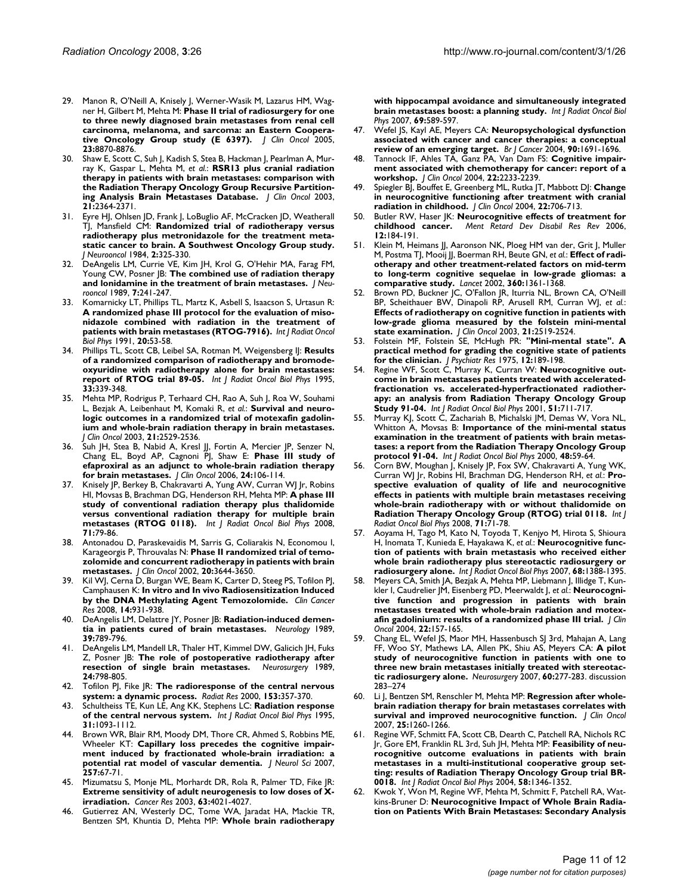- 29. Manon R, O'Neill A, Knisely J, Werner-Wasik M, Lazarus HM, Wagner H, Gilbert M, Mehta M: **[Phase II trial of radiosurgery for one](http://www.ncbi.nlm.nih.gov/entrez/query.fcgi?cmd=Retrieve&db=PubMed&dopt=Abstract&list_uids=16314647) [to three newly diagnosed brain metastases from renal cell](http://www.ncbi.nlm.nih.gov/entrez/query.fcgi?cmd=Retrieve&db=PubMed&dopt=Abstract&list_uids=16314647) carcinoma, melanoma, and sarcoma: an Eastern Coopera[tive Oncology Group study \(E 6397\).](http://www.ncbi.nlm.nih.gov/entrez/query.fcgi?cmd=Retrieve&db=PubMed&dopt=Abstract&list_uids=16314647)** *J Clin Oncol* 2005, **23:**8870-8876.
- 30. Shaw E, Scott C, Suh J, Kadish S, Stea B, Hackman J, Pearlman A, Murray K, Gaspar L, Mehta M, *et al.*: **[RSR13 plus cranial radiation](http://www.ncbi.nlm.nih.gov/entrez/query.fcgi?cmd=Retrieve&db=PubMed&dopt=Abstract&list_uids=12805339) [therapy in patients with brain metastases: comparison with](http://www.ncbi.nlm.nih.gov/entrez/query.fcgi?cmd=Retrieve&db=PubMed&dopt=Abstract&list_uids=12805339) the Radiation Therapy Oncology Group Recursive Partition[ing Analysis Brain Metastases Database.](http://www.ncbi.nlm.nih.gov/entrez/query.fcgi?cmd=Retrieve&db=PubMed&dopt=Abstract&list_uids=12805339)** *J Clin Oncol* 2003, **21:**2364-2371.
- 31. Eyre HJ, Ohlsen JD, Frank J, LoBuglio AF, McCracken JD, Weatherall TJ, Mansfield CM: **[Randomized trial of radiotherapy versus](http://www.ncbi.nlm.nih.gov/entrez/query.fcgi?cmd=Retrieve&db=PubMed&dopt=Abstract&list_uids=6397578) [radiotherapy plus metronidazole for the treatment meta](http://www.ncbi.nlm.nih.gov/entrez/query.fcgi?cmd=Retrieve&db=PubMed&dopt=Abstract&list_uids=6397578)static cancer to brain. A Southwest Oncology Group study.** *J Neurooncol* 1984, **2:**325-330.
- 32. DeAngelis LM, Currie VE, Kim JH, Krol G, O'Hehir MA, Farag FM, Young CW, Posner JB: **[The combined use of radiation therapy](http://www.ncbi.nlm.nih.gov/entrez/query.fcgi?cmd=Retrieve&db=PubMed&dopt=Abstract&list_uids=2677257) [and lonidamine in the treatment of brain metastases.](http://www.ncbi.nlm.nih.gov/entrez/query.fcgi?cmd=Retrieve&db=PubMed&dopt=Abstract&list_uids=2677257)** *J Neurooncol* 1989, **7:**241-247.
- 33. Komarnicky LT, Phillips TL, Martz K, Asbell S, Isaacson S, Urtasun R: **[A randomized phase III protocol for the evaluation of miso](http://www.ncbi.nlm.nih.gov/entrez/query.fcgi?cmd=Retrieve&db=PubMed&dopt=Abstract&list_uids=1993631)nidazole combined with radiation in the treatment of [patients with brain metastases \(RTOG-7916\).](http://www.ncbi.nlm.nih.gov/entrez/query.fcgi?cmd=Retrieve&db=PubMed&dopt=Abstract&list_uids=1993631)** *Int J Radiat Oncol Biol Phys* 1991, **20:**53-58.
- 34. Phillips TL, Scott CB, Leibel SA, Rotman M, Weigensberg IJ: **[Results](http://www.ncbi.nlm.nih.gov/entrez/query.fcgi?cmd=Retrieve&db=PubMed&dopt=Abstract&list_uids=7673021) [of a randomized comparison of radiotherapy and bromode](http://www.ncbi.nlm.nih.gov/entrez/query.fcgi?cmd=Retrieve&db=PubMed&dopt=Abstract&list_uids=7673021)oxyuridine with radiotherapy alone for brain metastases: [report of RTOG trial 89-05.](http://www.ncbi.nlm.nih.gov/entrez/query.fcgi?cmd=Retrieve&db=PubMed&dopt=Abstract&list_uids=7673021)** *Int J Radiat Oncol Biol Phys* 1995, **33:**339-348.
- 35. Mehta MP, Rodrigus P, Terhaard CH, Rao A, Suh J, Roa W, Souhami L, Bezjak A, Leibenhaut M, Komaki R, *et al.*: **[Survival and neuro](http://www.ncbi.nlm.nih.gov/entrez/query.fcgi?cmd=Retrieve&db=PubMed&dopt=Abstract&list_uids=12829672)[logic outcomes in a randomized trial of motexafin gadolin](http://www.ncbi.nlm.nih.gov/entrez/query.fcgi?cmd=Retrieve&db=PubMed&dopt=Abstract&list_uids=12829672)ium and whole-brain radiation therapy in brain metastases.** *J Clin Oncol* 2003, **21:**2529-2536.
- 36. Suh JH, Stea B, Nabid A, Kresl JJ, Fortin A, Mercier JP, Senzer N, Chang EL, Boyd AP, Cagnoni PJ, Shaw E: **[Phase III study of](http://www.ncbi.nlm.nih.gov/entrez/query.fcgi?cmd=Retrieve&db=PubMed&dopt=Abstract&list_uids=16314619) [efaproxiral as an adjunct to whole-brain radiation therapy](http://www.ncbi.nlm.nih.gov/entrez/query.fcgi?cmd=Retrieve&db=PubMed&dopt=Abstract&list_uids=16314619) [for brain metastases.](http://www.ncbi.nlm.nih.gov/entrez/query.fcgi?cmd=Retrieve&db=PubMed&dopt=Abstract&list_uids=16314619)** *J Clin Oncol* 2006, **24:**106-114.
- 37. Knisely JP, Berkey B, Chakravarti A, Yung AW, Curran WJ Jr, Robins HI, Movsas B, Brachman DG, Henderson RH, Mehta MP: **[A phase III](http://www.ncbi.nlm.nih.gov/entrez/query.fcgi?cmd=Retrieve&db=PubMed&dopt=Abstract&list_uids=18164847) [study of conventional radiation therapy plus thalidomide](http://www.ncbi.nlm.nih.gov/entrez/query.fcgi?cmd=Retrieve&db=PubMed&dopt=Abstract&list_uids=18164847) versus conventional radiation therapy for multiple brain [metastases \(RTOG 0118\).](http://www.ncbi.nlm.nih.gov/entrez/query.fcgi?cmd=Retrieve&db=PubMed&dopt=Abstract&list_uids=18164847)** *Int J Radiat Oncol Biol Phys* 2008, **71:**79-86.
- 38. Antonadou D, Paraskevaidis M, Sarris G, Coliarakis N, Economou I, Karageorgis P, Throuvalas N: **[Phase II randomized trial of temo](http://www.ncbi.nlm.nih.gov/entrez/query.fcgi?cmd=Retrieve&db=PubMed&dopt=Abstract&list_uids=12202665)[zolomide and concurrent radiotherapy in patients with brain](http://www.ncbi.nlm.nih.gov/entrez/query.fcgi?cmd=Retrieve&db=PubMed&dopt=Abstract&list_uids=12202665) [metastases.](http://www.ncbi.nlm.nih.gov/entrez/query.fcgi?cmd=Retrieve&db=PubMed&dopt=Abstract&list_uids=12202665)** *J Clin Oncol* 2002, **20:**3644-3650.
- 39. Kil WJ, Cerna D, Burgan WE, Beam K, Carter D, Steeg PS, Tofilon PJ, Camphausen K: **[In vitro and In vivo Radiosensitization Induced](http://www.ncbi.nlm.nih.gov/entrez/query.fcgi?cmd=Retrieve&db=PubMed&dopt=Abstract&list_uids=18245557) [by the DNA Methylating Agent Temozolomide.](http://www.ncbi.nlm.nih.gov/entrez/query.fcgi?cmd=Retrieve&db=PubMed&dopt=Abstract&list_uids=18245557)** *Clin Cancer Res* 2008, **14:**931-938.
- 40. DeAngelis LM, Delattre JY, Posner JB: **[Radiation-induced demen](http://www.ncbi.nlm.nih.gov/entrez/query.fcgi?cmd=Retrieve&db=PubMed&dopt=Abstract&list_uids=2725874)[tia in patients cured of brain metastases.](http://www.ncbi.nlm.nih.gov/entrez/query.fcgi?cmd=Retrieve&db=PubMed&dopt=Abstract&list_uids=2725874)** *Neurology* 1989, **39:**789-796.
- 41. DeAngelis LM, Mandell LR, Thaler HT, Kimmel DW, Galicich JH, Fuks Z, Posner JB: **[The role of postoperative radiotherapy after](http://www.ncbi.nlm.nih.gov/entrez/query.fcgi?cmd=Retrieve&db=PubMed&dopt=Abstract&list_uids=2473409) [resection of single brain metastases.](http://www.ncbi.nlm.nih.gov/entrez/query.fcgi?cmd=Retrieve&db=PubMed&dopt=Abstract&list_uids=2473409)** *Neurosurgery* 1989, **24:**798-805.
- 42. Tofilon PJ, Fike JR: **[The radioresponse of the central nervous](http://www.ncbi.nlm.nih.gov/entrez/query.fcgi?cmd=Retrieve&db=PubMed&dopt=Abstract&list_uids=10798963) [system: a dynamic process.](http://www.ncbi.nlm.nih.gov/entrez/query.fcgi?cmd=Retrieve&db=PubMed&dopt=Abstract&list_uids=10798963)** *Radiat Res* 2000, **153:**357-370.
- 43. Schultheiss TE, Kun LE, Ang KK, Stephens LC: **[Radiation response](http://www.ncbi.nlm.nih.gov/entrez/query.fcgi?cmd=Retrieve&db=PubMed&dopt=Abstract&list_uids=7677836) [of the central nervous system.](http://www.ncbi.nlm.nih.gov/entrez/query.fcgi?cmd=Retrieve&db=PubMed&dopt=Abstract&list_uids=7677836)** *Int J Radiat Oncol Biol Phys* 1995, **31:**1093-1112.
- 44. Brown WR, Blair RM, Moody DM, Thore CR, Ahmed S, Robbins ME, Wheeler KT: **[Capillary loss precedes the cognitive impair](http://www.ncbi.nlm.nih.gov/entrez/query.fcgi?cmd=Retrieve&db=PubMed&dopt=Abstract&list_uids=17316691)[ment induced by fractionated whole-brain irradiation: a](http://www.ncbi.nlm.nih.gov/entrez/query.fcgi?cmd=Retrieve&db=PubMed&dopt=Abstract&list_uids=17316691) [potential rat model of vascular dementia.](http://www.ncbi.nlm.nih.gov/entrez/query.fcgi?cmd=Retrieve&db=PubMed&dopt=Abstract&list_uids=17316691)** *J Neurol Sci* 2007, **257:**67-71.
- 45. Mizumatsu S, Monje ML, Morhardt DR, Rola R, Palmer TD, Fike JR: **[Extreme sensitivity of adult neurogenesis to low doses of X](http://www.ncbi.nlm.nih.gov/entrez/query.fcgi?cmd=Retrieve&db=PubMed&dopt=Abstract&list_uids=12874001)[irradiation.](http://www.ncbi.nlm.nih.gov/entrez/query.fcgi?cmd=Retrieve&db=PubMed&dopt=Abstract&list_uids=12874001)** *Cancer Res* 2003, **63:**4021-4027.
- 46. Gutierrez AN, Westerly DC, Tome WA, Jaradat HA, Mackie TR, Bentzen SM, Khuntia D, Mehta MP: **[Whole brain radiotherapy](http://www.ncbi.nlm.nih.gov/entrez/query.fcgi?cmd=Retrieve&db=PubMed&dopt=Abstract&list_uids=17869672)**

**[with hippocampal avoidance and simultaneously integrated](http://www.ncbi.nlm.nih.gov/entrez/query.fcgi?cmd=Retrieve&db=PubMed&dopt=Abstract&list_uids=17869672) [brain metastases boost: a planning study.](http://www.ncbi.nlm.nih.gov/entrez/query.fcgi?cmd=Retrieve&db=PubMed&dopt=Abstract&list_uids=17869672)** *Int J Radiat Oncol Biol Phys* 2007, **69:**589-597.

- 47. Wefel JS, Kayl AE, Meyers CA: **[Neuropsychological dysfunction](http://www.ncbi.nlm.nih.gov/entrez/query.fcgi?cmd=Retrieve&db=PubMed&dopt=Abstract&list_uids=15150608) [associated with cancer and cancer therapies: a conceptual](http://www.ncbi.nlm.nih.gov/entrez/query.fcgi?cmd=Retrieve&db=PubMed&dopt=Abstract&list_uids=15150608) [review of an emerging target.](http://www.ncbi.nlm.nih.gov/entrez/query.fcgi?cmd=Retrieve&db=PubMed&dopt=Abstract&list_uids=15150608)** *Br J Cancer* 2004, **90:**1691-1696.
- 48. Tannock IF, Ahles TA, Ganz PA, Van Dam FS: **[Cognitive impair](http://www.ncbi.nlm.nih.gov/entrez/query.fcgi?cmd=Retrieve&db=PubMed&dopt=Abstract&list_uids=15169812)[ment associated with chemotherapy for cancer: report of a](http://www.ncbi.nlm.nih.gov/entrez/query.fcgi?cmd=Retrieve&db=PubMed&dopt=Abstract&list_uids=15169812) [workshop.](http://www.ncbi.nlm.nih.gov/entrez/query.fcgi?cmd=Retrieve&db=PubMed&dopt=Abstract&list_uids=15169812)** *J Clin Oncol* 2004, **22:**2233-2239.
- 49. Spiegler BJ, Bouffet E, Greenberg ML, Rutka JT, Mabbott DJ: **[Change](http://www.ncbi.nlm.nih.gov/entrez/query.fcgi?cmd=Retrieve&db=PubMed&dopt=Abstract&list_uids=14966095) [in neurocognitive functioning after treatment with cranial](http://www.ncbi.nlm.nih.gov/entrez/query.fcgi?cmd=Retrieve&db=PubMed&dopt=Abstract&list_uids=14966095) [radiation in childhood.](http://www.ncbi.nlm.nih.gov/entrez/query.fcgi?cmd=Retrieve&db=PubMed&dopt=Abstract&list_uids=14966095)** *J Clin Oncol* 2004, **22:**706-713.
- 50. Butler RW, Haser JK: **[Neurocognitive effects of treatment for](http://www.ncbi.nlm.nih.gov/entrez/query.fcgi?cmd=Retrieve&db=PubMed&dopt=Abstract&list_uids=17061287) [childhood cancer.](http://www.ncbi.nlm.nih.gov/entrez/query.fcgi?cmd=Retrieve&db=PubMed&dopt=Abstract&list_uids=17061287)** *Ment Retard Dev Disabil Res Rev* 2006, **12:**184-191.
- 51. Klein M, Heimans JJ, Aaronson NK, Ploeg HM van der, Grit J, Muller M, Postma TJ, Mooij JJ, Boerman RH, Beute GN, *et al.*: **[Effect of radi](http://www.ncbi.nlm.nih.gov/entrez/query.fcgi?cmd=Retrieve&db=PubMed&dopt=Abstract&list_uids=12423981)[otherapy and other treatment-related factors on mid-term](http://www.ncbi.nlm.nih.gov/entrez/query.fcgi?cmd=Retrieve&db=PubMed&dopt=Abstract&list_uids=12423981) to long-term cognitive sequelae in low-grade gliomas: a [comparative study.](http://www.ncbi.nlm.nih.gov/entrez/query.fcgi?cmd=Retrieve&db=PubMed&dopt=Abstract&list_uids=12423981)** *Lancet* 2002, **360:**1361-1368.
- 52. Brown PD, Buckner JC, O'Fallon JR, Iturria NL, Brown CA, O'Neill BP, Scheithauer BW, Dinapoli RP, Arusell RM, Curran WJ, *et al.*: **Effects of radiotherapy on cognitive function in patients with [low-grade glioma measured by the folstein mini-mental](http://www.ncbi.nlm.nih.gov/entrez/query.fcgi?cmd=Retrieve&db=PubMed&dopt=Abstract&list_uids=12829670) [state examination.](http://www.ncbi.nlm.nih.gov/entrez/query.fcgi?cmd=Retrieve&db=PubMed&dopt=Abstract&list_uids=12829670)** *J Clin Oncol* 2003, **21:**2519-2524.
- 53. Folstein MF, Folstein SE, McHugh PR: **["Mini-mental state". A](http://www.ncbi.nlm.nih.gov/entrez/query.fcgi?cmd=Retrieve&db=PubMed&dopt=Abstract&list_uids=1202204) [practical method for grading the cognitive state of patients](http://www.ncbi.nlm.nih.gov/entrez/query.fcgi?cmd=Retrieve&db=PubMed&dopt=Abstract&list_uids=1202204) [for the clinician.](http://www.ncbi.nlm.nih.gov/entrez/query.fcgi?cmd=Retrieve&db=PubMed&dopt=Abstract&list_uids=1202204)** *J Psychiatr Res* 1975, **12:**189-198.
- 54. Regine WF, Scott C, Murray K, Curran W: **[Neurocognitive out](http://www.ncbi.nlm.nih.gov/entrez/query.fcgi?cmd=Retrieve&db=PubMed&dopt=Abstract&list_uids=11597813)come in brain metastases patients treated with accelerated[fractionation vs. accelerated-hyperfractionated radiother](http://www.ncbi.nlm.nih.gov/entrez/query.fcgi?cmd=Retrieve&db=PubMed&dopt=Abstract&list_uids=11597813)apy: an analysis from Radiation Therapy Oncology Group [Study 91-04.](http://www.ncbi.nlm.nih.gov/entrez/query.fcgi?cmd=Retrieve&db=PubMed&dopt=Abstract&list_uids=11597813)** *Int J Radiat Oncol Biol Phys* 2001, **51:**711-717.
- 55. Murray KJ, Scott C, Zachariah B, Michalski JM, Demas W, Vora NL, Whitton A, Movsas B: **[Importance of the mini-mental status](http://www.ncbi.nlm.nih.gov/entrez/query.fcgi?cmd=Retrieve&db=PubMed&dopt=Abstract&list_uids=10924972) [examination in the treatment of patients with brain metas](http://www.ncbi.nlm.nih.gov/entrez/query.fcgi?cmd=Retrieve&db=PubMed&dopt=Abstract&list_uids=10924972)tases: a report from the Radiation Therapy Oncology Group [protocol 91-04.](http://www.ncbi.nlm.nih.gov/entrez/query.fcgi?cmd=Retrieve&db=PubMed&dopt=Abstract&list_uids=10924972)** *Int J Radiat Oncol Biol Phys* 2000, **48:**59-64.
- Corn BW, Moughan J, Knisely JP, Fox SW, Chakravarti A, Yung WK, Curran WJ Jr, Robins HI, Brachman DG, Henderson RH, *et al.*: **[Pro](http://www.ncbi.nlm.nih.gov/entrez/query.fcgi?cmd=Retrieve&db=PubMed&dopt=Abstract&list_uids=18164829)[spective evaluation of quality of life and neurocognitive](http://www.ncbi.nlm.nih.gov/entrez/query.fcgi?cmd=Retrieve&db=PubMed&dopt=Abstract&list_uids=18164829) effects in patients with multiple brain metastases receiving whole-brain radiotherapy with or without thalidomide on [Radiation Therapy Oncology Group \(RTOG\) trial 0118.](http://www.ncbi.nlm.nih.gov/entrez/query.fcgi?cmd=Retrieve&db=PubMed&dopt=Abstract&list_uids=18164829)** *Int J Radiat Oncol Biol Phys* 2008, **71:**71-78.
- 57. Aoyama H, Tago M, Kato N, Toyoda T, Kenjyo M, Hirota S, Shioura H, Inomata T, Kunieda E, Hayakawa K, *et al.*: **[Neurocognitive func](http://www.ncbi.nlm.nih.gov/entrez/query.fcgi?cmd=Retrieve&db=PubMed&dopt=Abstract&list_uids=17674975)[tion of patients with brain metastasis who received either](http://www.ncbi.nlm.nih.gov/entrez/query.fcgi?cmd=Retrieve&db=PubMed&dopt=Abstract&list_uids=17674975) whole brain radiotherapy plus stereotactic radiosurgery or [radiosurgery alone.](http://www.ncbi.nlm.nih.gov/entrez/query.fcgi?cmd=Retrieve&db=PubMed&dopt=Abstract&list_uids=17674975)** *Int J Radiat Oncol Biol Phys* 2007, **68:**1388-1395.
- 58. Meyers CA, Smith JA, Bezjak A, Mehta MP, Liebmann J, Illidge T, Kunkler I, Caudrelier JM, Eisenberg PD, Meerwaldt J, *et al.*: **[Neurocogni](http://www.ncbi.nlm.nih.gov/entrez/query.fcgi?cmd=Retrieve&db=PubMed&dopt=Abstract&list_uids=14701778)[tive function and progression in patients with brain](http://www.ncbi.nlm.nih.gov/entrez/query.fcgi?cmd=Retrieve&db=PubMed&dopt=Abstract&list_uids=14701778) metastases treated with whole-brain radiation and motex[afin gadolinium: results of a randomized phase III trial.](http://www.ncbi.nlm.nih.gov/entrez/query.fcgi?cmd=Retrieve&db=PubMed&dopt=Abstract&list_uids=14701778)** *J Clin Oncol* 2004, **22:**157-165.
- Chang EL, Wefel JS, Maor MH, Hassenbusch SJ 3rd, Mahajan A, Lang FF, Woo SY, Mathews LA, Allen PK, Shiu AS, Meyers CA: **[A pilot](http://www.ncbi.nlm.nih.gov/entrez/query.fcgi?cmd=Retrieve&db=PubMed&dopt=Abstract&list_uids=17290178) [study of neurocognitive function in patients with one to](http://www.ncbi.nlm.nih.gov/entrez/query.fcgi?cmd=Retrieve&db=PubMed&dopt=Abstract&list_uids=17290178) three new brain metastases initially treated with stereotac[tic radiosurgery alone.](http://www.ncbi.nlm.nih.gov/entrez/query.fcgi?cmd=Retrieve&db=PubMed&dopt=Abstract&list_uids=17290178)** *Neurosurgery* 2007, **60:**277-283. discussion 283–274
- 60. Li J, Bentzen SM, Renschler M, Mehta MP: **[Regression after whole](http://www.ncbi.nlm.nih.gov/entrez/query.fcgi?cmd=Retrieve&db=PubMed&dopt=Abstract&list_uids=17401015)[brain radiation therapy for brain metastases correlates with](http://www.ncbi.nlm.nih.gov/entrez/query.fcgi?cmd=Retrieve&db=PubMed&dopt=Abstract&list_uids=17401015) [survival and improved neurocognitive function.](http://www.ncbi.nlm.nih.gov/entrez/query.fcgi?cmd=Retrieve&db=PubMed&dopt=Abstract&list_uids=17401015)** *J Clin Oncol* 2007, **25:**1260-1266.
- 61. Regine WF, Schmitt FA, Scott CB, Dearth C, Patchell RA, Nichols RC Jr, Gore EM, Franklin RL 3rd, Suh JH, Mehta MP: **[Feasibility of neu](http://www.ncbi.nlm.nih.gov/entrez/query.fcgi?cmd=Retrieve&db=PubMed&dopt=Abstract&list_uids=15050309)[rocognitive outcome evaluations in patients with brain](http://www.ncbi.nlm.nih.gov/entrez/query.fcgi?cmd=Retrieve&db=PubMed&dopt=Abstract&list_uids=15050309) metastases in a multi-institutional cooperative group setting: results of Radiation Therapy Oncology Group trial BR-[0018.](http://www.ncbi.nlm.nih.gov/entrez/query.fcgi?cmd=Retrieve&db=PubMed&dopt=Abstract&list_uids=15050309)** *Int J Radiat Oncol Biol Phys* 2004, **58:**1346-1352.
- 62. Kwok Y, Won M, Regine WF, Mehta M, Schmitt F, Patchell RA, Watkins-Bruner D: **Neurocognitive Impact of Whole Brain Radiation on Patients With Brain Metastases: Secondary Analysis**